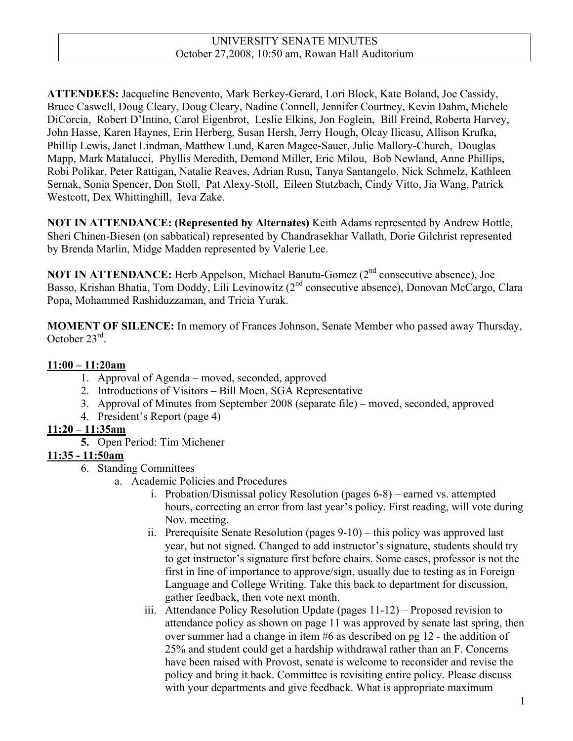**ATTENDEES:** Jacqueline Benevento, Mark Berkey-Gerard, Lori Block, Kate Boland, Joe Cassidy, Bruce Caswell, Doug Cleary, Doug Cleary, Nadine Connell, Jennifer Courtney, Kevin Dahm, Michele DiCorcia, Robert D'Intino, Carol Eigenbrot, Leslie Elkins, Jon Foglein, Bill Freind, Roberta Harvey, John Hasse, Karen Haynes, Erin Herberg, Susan Hersh, Jerry Hough, Olcay Ilicasu, Allison Krufka, Phillip Lewis, Janet Lindman, Matthew Lund, Karen Magee-Sauer, Julie Mallory-Church, Douglas Mapp, Mark Matalucci, Phyllis Meredith, Demond Miller, Eric Milou, Bob Newland, Anne Phillips, Robi Polikar, Peter Rattigan, Natalie Reaves, Adrian Rusu, Tanya Santangelo, Nick Schmelz, Kathleen Sernak, Sonia Spencer, Don Stoll, Pat Alexy-Stoll, Eileen Stutzbach, Cindy Vitto, Jia Wang, Patrick Westcott, Dex Whittinghill, Ieva Zake.

**NOT IN ATTENDANCE: (Represented by Alternates)** Keith Adams represented by Andrew Hottle, Sheri Chinen-Biesen (on sabbatical) represented by Chandrasekhar Vallath, Dorie Gilchrist represented by Brenda Marlin, Midge Madden represented by Valerie Lee.

**NOT IN ATTENDANCE:** Herb Appelson, Michael Banutu-Gomez (2<sup>nd</sup> consecutive absence), Joe Basso, Krishan Bhatia, Tom Doddy, Lili Levinowitz (2<sup>nd</sup> consecutive absence), Donovan McCargo, Clara Popa, Mohammed Rashiduzzaman, and Tricia Yurak.

**MOMENT OF SILENCE:** In memory of Frances Johnson, Senate Member who passed away Thursday, October 23rd.

#### **11:00 – 11:20am**

- 1. Approval of Agenda moved, seconded, approved
- 2. Introductions of Visitors Bill Moen, SGA Representative
- 3. Approval of Minutes from September 2008 (separate file) moved, seconded, approved
- 4. President's Report (page 4)

#### **11:20 – 11:35am**

**5.** Open Period: Tim Michener

#### **11:35 - 11:50am**

- 6. Standing Committees
	- a. Academic Policies and Procedures
		- i. Probation/Dismissal policy Resolution (pages 6-8) earned vs. attempted hours, correcting an error from last year's policy. First reading, will vote during Nov. meeting.
		- ii. Prerequisite Senate Resolution (pages 9-10) this policy was approved last year, but not signed. Changed to add instructor's signature, students should try to get instructor's signature first before chairs. Some cases, professor is not the first in line of importance to approve/sign, usually due to testing as in Foreign Language and College Writing. Take this back to department for discussion, gather feedback, then vote next month.
		- iii. Attendance Policy Resolution Update (pages 11-12) Proposed revision to attendance policy as shown on page 11 was approved by senate last spring, then over summer had a change in item #6 as described on pg 12 - the addition of 25% and student could get a hardship withdrawal rather than an F. Concerns have been raised with Provost, senate is welcome to reconsider and revise the policy and bring it back. Committee is revisiting entire policy. Please discuss with your departments and give feedback. What is appropriate maximum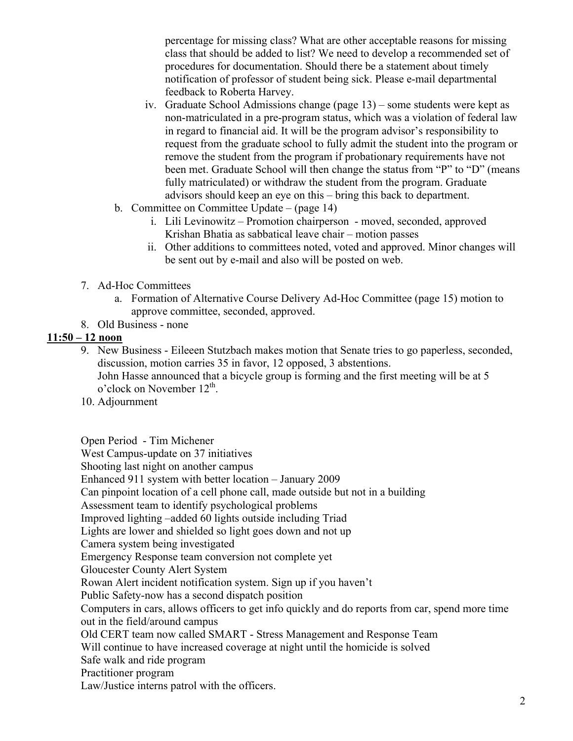percentage for missing class? What are other acceptable reasons for missing class that should be added to list? We need to develop a recommended set of procedures for documentation. Should there be a statement about timely notification of professor of student being sick. Please e-mail departmental feedback to Roberta Harvey.

- iv. Graduate School Admissions change (page 13) some students were kept as non-matriculated in a pre-program status, which was a violation of federal law in regard to financial aid. It will be the program advisor's responsibility to request from the graduate school to fully admit the student into the program or remove the student from the program if probationary requirements have not been met. Graduate School will then change the status from "P" to "D" (means fully matriculated) or withdraw the student from the program. Graduate advisors should keep an eye on this – bring this back to department.
- b. Committee on Committee Update (page 14)
	- i. Lili Levinowitz Promotion chairperson moved, seconded, approved Krishan Bhatia as sabbatical leave chair – motion passes
	- ii. Other additions to committees noted, voted and approved. Minor changes will be sent out by e-mail and also will be posted on web.
- 7. Ad-Hoc Committees
	- a. Formation of Alternative Course Delivery Ad-Hoc Committee (page 15) motion to approve committee, seconded, approved.
- 8. Old Business none

#### **11:50 – 12 noon**

- 9. New Business Eileeen Stutzbach makes motion that Senate tries to go paperless, seconded, discussion, motion carries 35 in favor, 12 opposed, 3 abstentions. John Hasse announced that a bicycle group is forming and the first meeting will be at 5  $\sigma$ 'clock on November 12<sup>th</sup>.
- 10. Adjournment

Open Period - Tim Michener

West Campus-update on 37 initiatives

Shooting last night on another campus

Enhanced 911 system with better location – January 2009

Can pinpoint location of a cell phone call, made outside but not in a building

Assessment team to identify psychological problems

Improved lighting –added 60 lights outside including Triad

Lights are lower and shielded so light goes down and not up

Camera system being investigated

Emergency Response team conversion not complete yet

Gloucester County Alert System

Rowan Alert incident notification system. Sign up if you haven't

Public Safety-now has a second dispatch position

Computers in cars, allows officers to get info quickly and do reports from car, spend more time out in the field/around campus

Old CERT team now called SMART - Stress Management and Response Team

Will continue to have increased coverage at night until the homicide is solved

- Safe walk and ride program
- Practitioner program

Law/Justice interns patrol with the officers.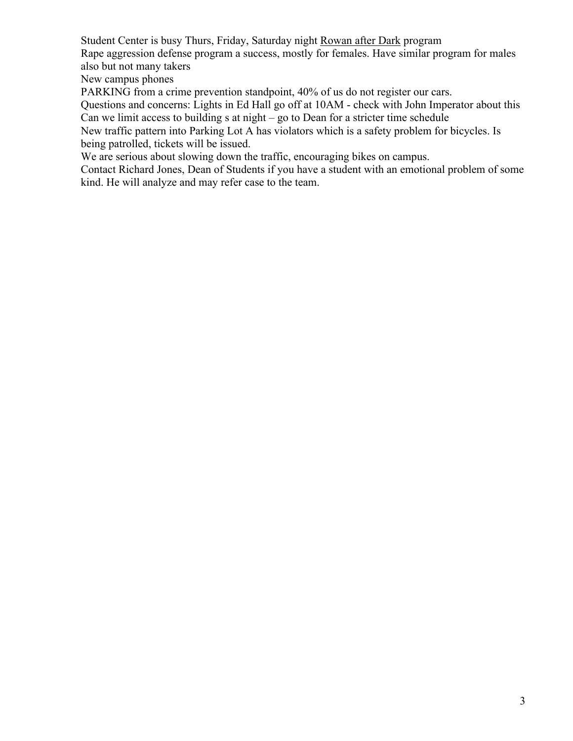Student Center is busy Thurs, Friday, Saturday night Rowan after Dark program

Rape aggression defense program a success, mostly for females. Have similar program for males also but not many takers

New campus phones

PARKING from a crime prevention standpoint, 40% of us do not register our cars.

Questions and concerns: Lights in Ed Hall go off at 10AM - check with John Imperator about this Can we limit access to building s at night – go to Dean for a stricter time schedule

New traffic pattern into Parking Lot A has violators which is a safety problem for bicycles. Is being patrolled, tickets will be issued.

We are serious about slowing down the traffic, encouraging bikes on campus.

Contact Richard Jones, Dean of Students if you have a student with an emotional problem of some kind. He will analyze and may refer case to the team.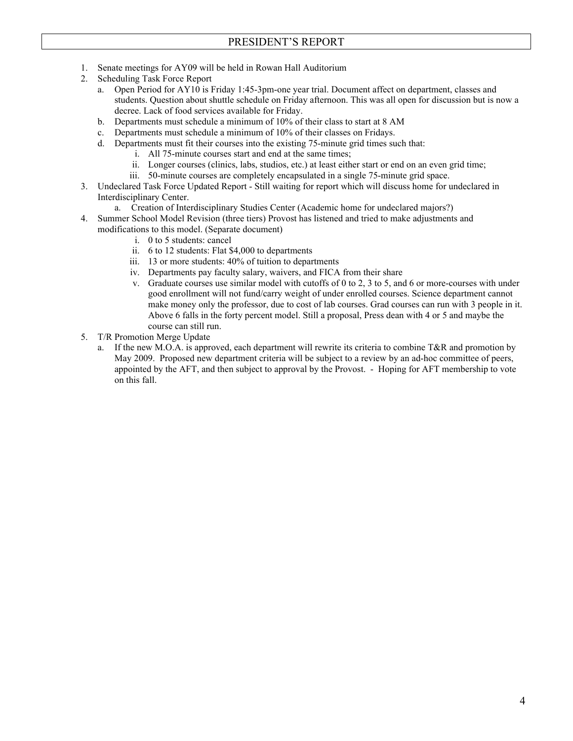- 1. Senate meetings for AY09 will be held in Rowan Hall Auditorium
- 2. Scheduling Task Force Report
	- a. Open Period for AY10 is Friday 1:45-3pm-one year trial. Document affect on department, classes and students. Question about shuttle schedule on Friday afternoon. This was all open for discussion but is now a decree. Lack of food services available for Friday.
	- b. Departments must schedule a minimum of 10% of their class to start at 8 AM
	- c. Departments must schedule a minimum of 10% of their classes on Fridays.
	- d. Departments must fit their courses into the existing 75-minute grid times such that:
		- i. All 75-minute courses start and end at the same times;
		- ii. Longer courses (clinics, labs, studios, etc.) at least either start or end on an even grid time;
		- iii. 50-minute courses are completely encapsulated in a single 75-minute grid space.
- 3. Undeclared Task Force Updated Report Still waiting for report which will discuss home for undeclared in Interdisciplinary Center.
	- a. Creation of Interdisciplinary Studies Center (Academic home for undeclared majors?)
- 4. Summer School Model Revision (three tiers) Provost has listened and tried to make adjustments and modifications to this model. (Separate document)
	- i. 0 to 5 students: cancel
	- ii. 6 to 12 students: Flat \$4,000 to departments
	- iii. 13 or more students: 40% of tuition to departments
	- iv. Departments pay faculty salary, waivers, and FICA from their share
	- v. Graduate courses use similar model with cutoffs of 0 to 2, 3 to 5, and 6 or more-courses with under good enrollment will not fund/carry weight of under enrolled courses. Science department cannot make money only the professor, due to cost of lab courses. Grad courses can run with 3 people in it. Above 6 falls in the forty percent model. Still a proposal, Press dean with 4 or 5 and maybe the course can still run.
- 5. T/R Promotion Merge Update
	- a. If the new M.O.A. is approved, each department will rewrite its criteria to combine  $T\&R$  and promotion by May 2009. Proposed new department criteria will be subject to a review by an ad-hoc committee of peers, appointed by the AFT, and then subject to approval by the Provost. - Hoping for AFT membership to vote on this fall.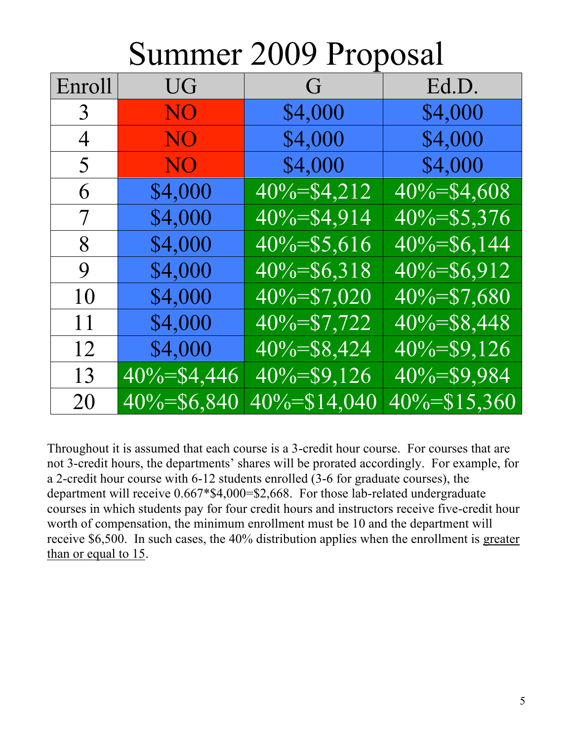# Summer 2009 Proposal

| Enroll | UG <sup>T</sup> | G                | Ed.D.            |
|--------|-----------------|------------------|------------------|
| 3      | <b>NO</b>       | \$4,000          | \$4,000          |
| 4      | <b>NO</b>       | \$4,000          | \$4,000          |
| 5      | NO              | \$4,000          | \$4,000          |
| 6      | \$4,000         | $40\% = $4,212$  | $40\% = $4,608$  |
| 7      | \$4,000         | $40\% = $4,914$  | $40\% = $5,376$  |
| 8      | \$4,000         | $40\% = $5,616$  | $40\% = $6,144$  |
| 9      | \$4,000         | $40\% = $6,318$  | $40\% = $6,912$  |
| 10     | \$4,000         | 40%=\$7,020      | $40\% = $7,680$  |
| 11     | \$4,000         | $40\% = $7,722$  | $40\% = $8,448$  |
| 12     | \$4,000         | $40\% = $8,424$  | $40\% = $9,126$  |
| 13     | 40%=\$4,446     | $40\% = $9,126$  | $40\% = $9,984$  |
| 20     | 40%=\$6,840     | $40\% = $14,040$ | $40\% = $15,360$ |

Throughout it is assumed that each course is a 3-credit hour course. For courses that are not 3-credit hours, the departments' shares will be prorated accordingly. For example, for a 2-credit hour course with 6-12 students enrolled (3-6 for graduate courses), the department will receive 0.667\*\$4,000=\$2,668. For those lab-related undergraduate courses in which students pay for four credit hours and instructors receive five-credit hour worth of compensation, the minimum enrollment must be 10 and the department will receive \$6,500. In such cases, the 40% distribution applies when the enrollment is greater than or equal to 15.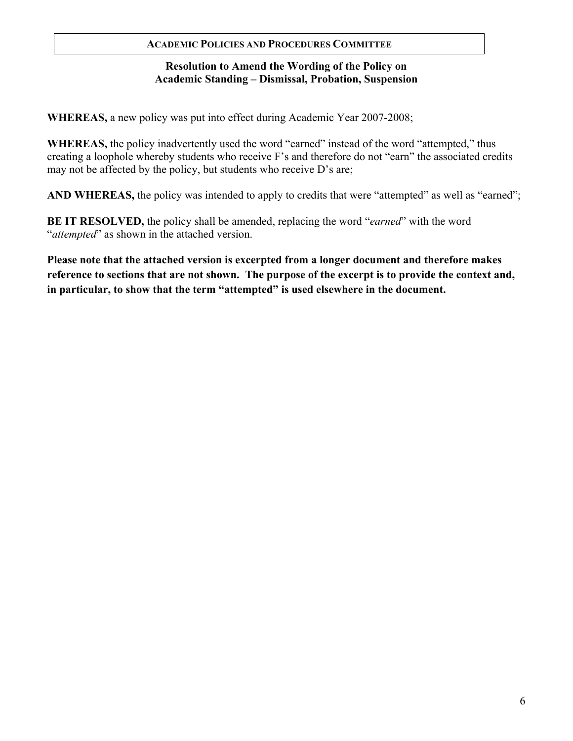#### **ACADEMIC POLICIES AND PROCEDURES COMMITTEE**

#### **Resolution to Amend the Wording of the Policy on Academic Standing – Dismissal, Probation, Suspension**

**WHEREAS,** a new policy was put into effect during Academic Year 2007-2008;

**WHEREAS,** the policy inadvertently used the word "earned" instead of the word "attempted," thus creating a loophole whereby students who receive F's and therefore do not "earn" the associated credits may not be affected by the policy, but students who receive D's are;

AND WHEREAS, the policy was intended to apply to credits that were "attempted" as well as "earned";

**BE IT RESOLVED,** the policy shall be amended, replacing the word "*earned*" with the word "*attempted*" as shown in the attached version.

**Please note that the attached version is excerpted from a longer document and therefore makes reference to sections that are not shown. The purpose of the excerpt is to provide the context and, in particular, to show that the term "attempted" is used elsewhere in the document.**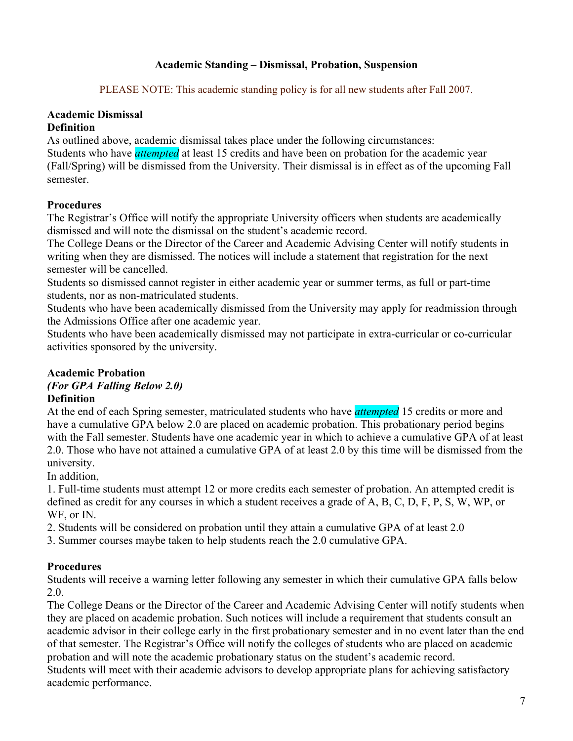#### **Academic Standing – Dismissal, Probation, Suspension**

PLEASE NOTE: This academic standing policy is for all new students after Fall 2007.

## **Academic Dismissal**

#### **Definition**

As outlined above, academic dismissal takes place under the following circumstances:

Students who have *attempted* at least 15 credits and have been on probation for the academic year (Fall/Spring) will be dismissed from the University. Their dismissal is in effect as of the upcoming Fall semester.

### **Procedures**

The Registrar's Office will notify the appropriate University officers when students are academically dismissed and will note the dismissal on the student's academic record.

The College Deans or the Director of the Career and Academic Advising Center will notify students in writing when they are dismissed. The notices will include a statement that registration for the next semester will be cancelled.

Students so dismissed cannot register in either academic year or summer terms, as full or part-time students, nor as non-matriculated students.

Students who have been academically dismissed from the University may apply for readmission through the Admissions Office after one academic year.

Students who have been academically dismissed may not participate in extra-curricular or co-curricular activities sponsored by the university.

# **Academic Probation**

#### *(For GPA Falling Below 2.0)*  **Definition**

At the end of each Spring semester, matriculated students who have *attempted* 15 credits or more and have a cumulative GPA below 2.0 are placed on academic probation. This probationary period begins with the Fall semester. Students have one academic year in which to achieve a cumulative GPA of at least 2.0. Those who have not attained a cumulative GPA of at least 2.0 by this time will be dismissed from the university.

In addition,

1. Full-time students must attempt 12 or more credits each semester of probation. An attempted credit is defined as credit for any courses in which a student receives a grade of A, B, C, D, F, P, S, W, WP, or WF, or IN.

2. Students will be considered on probation until they attain a cumulative GPA of at least 2.0

3. Summer courses maybe taken to help students reach the 2.0 cumulative GPA.

## **Procedures**

Students will receive a warning letter following any semester in which their cumulative GPA falls below 2.0.

The College Deans or the Director of the Career and Academic Advising Center will notify students when they are placed on academic probation. Such notices will include a requirement that students consult an academic advisor in their college early in the first probationary semester and in no event later than the end of that semester. The Registrar's Office will notify the colleges of students who are placed on academic probation and will note the academic probationary status on the student's academic record. Students will meet with their academic advisors to develop appropriate plans for achieving satisfactory academic performance.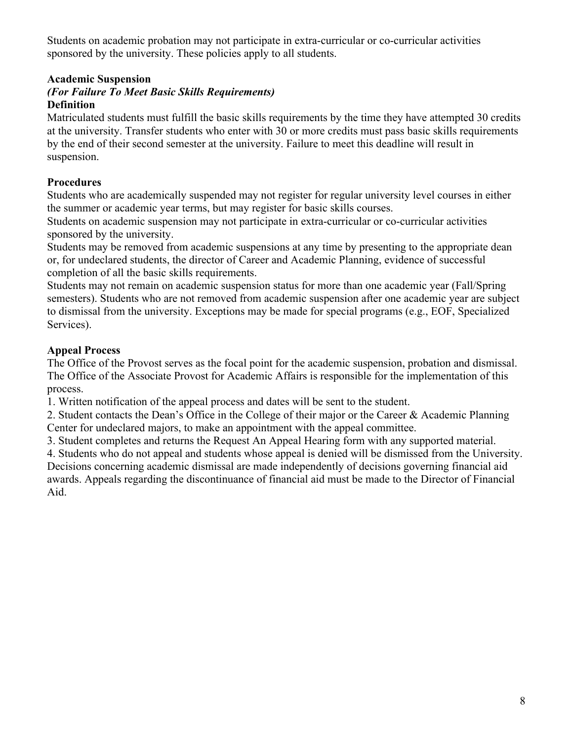Students on academic probation may not participate in extra-curricular or co-curricular activities sponsored by the university. These policies apply to all students.

#### **Academic Suspension**

#### *(For Failure To Meet Basic Skills Requirements)*  **Definition**

Matriculated students must fulfill the basic skills requirements by the time they have attempted 30 credits at the university. Transfer students who enter with 30 or more credits must pass basic skills requirements by the end of their second semester at the university. Failure to meet this deadline will result in suspension.

#### **Procedures**

Students who are academically suspended may not register for regular university level courses in either the summer or academic year terms, but may register for basic skills courses.

Students on academic suspension may not participate in extra-curricular or co-curricular activities sponsored by the university.

Students may be removed from academic suspensions at any time by presenting to the appropriate dean or, for undeclared students, the director of Career and Academic Planning, evidence of successful completion of all the basic skills requirements.

Students may not remain on academic suspension status for more than one academic year (Fall/Spring semesters). Students who are not removed from academic suspension after one academic year are subject to dismissal from the university. Exceptions may be made for special programs (e.g., EOF, Specialized Services).

#### **Appeal Process**

The Office of the Provost serves as the focal point for the academic suspension, probation and dismissal. The Office of the Associate Provost for Academic Affairs is responsible for the implementation of this process.

1. Written notification of the appeal process and dates will be sent to the student.

2. Student contacts the Dean's Office in the College of their major or the Career & Academic Planning Center for undeclared majors, to make an appointment with the appeal committee.

3. Student completes and returns the Request An Appeal Hearing form with any supported material.

4. Students who do not appeal and students whose appeal is denied will be dismissed from the University. Decisions concerning academic dismissal are made independently of decisions governing financial aid awards. Appeals regarding the discontinuance of financial aid must be made to the Director of Financial Aid.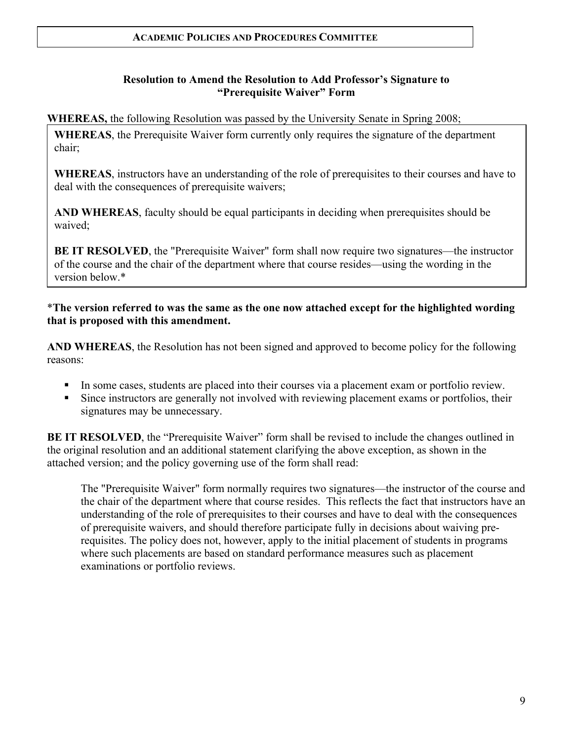#### **Resolution to Amend the Resolution to Add Professor's Signature to "Prerequisite Waiver" Form**

**WHEREAS,** the following Resolution was passed by the University Senate in Spring 2008;

**WHEREAS**, the Prerequisite Waiver form currently only requires the signature of the department chair;

**WHEREAS**, instructors have an understanding of the role of prerequisites to their courses and have to deal with the consequences of prerequisite waivers;

**AND WHEREAS**, faculty should be equal participants in deciding when prerequisites should be waived;

**BE IT RESOLVED**, the "Prerequisite Waiver" form shall now require two signatures—the instructor of the course and the chair of the department where that course resides—using the wording in the version below \*

\***The version referred to was the same as the one now attached except for the highlighted wording that is proposed with this amendment.**

**AND WHEREAS**, the Resolution has not been signed and approved to become policy for the following reasons:

- In some cases, students are placed into their courses via a placement exam or portfolio review.
- Since instructors are generally not involved with reviewing placement exams or portfolios, their signatures may be unnecessary.

**BE IT RESOLVED**, the "Prerequisite Waiver" form shall be revised to include the changes outlined in the original resolution and an additional statement clarifying the above exception, as shown in the attached version; and the policy governing use of the form shall read:

The "Prerequisite Waiver" form normally requires two signatures—the instructor of the course and the chair of the department where that course resides. This reflects the fact that instructors have an understanding of the role of prerequisites to their courses and have to deal with the consequences of prerequisite waivers, and should therefore participate fully in decisions about waiving prerequisites. The policy does not, however, apply to the initial placement of students in programs where such placements are based on standard performance measures such as placement examinations or portfolio reviews.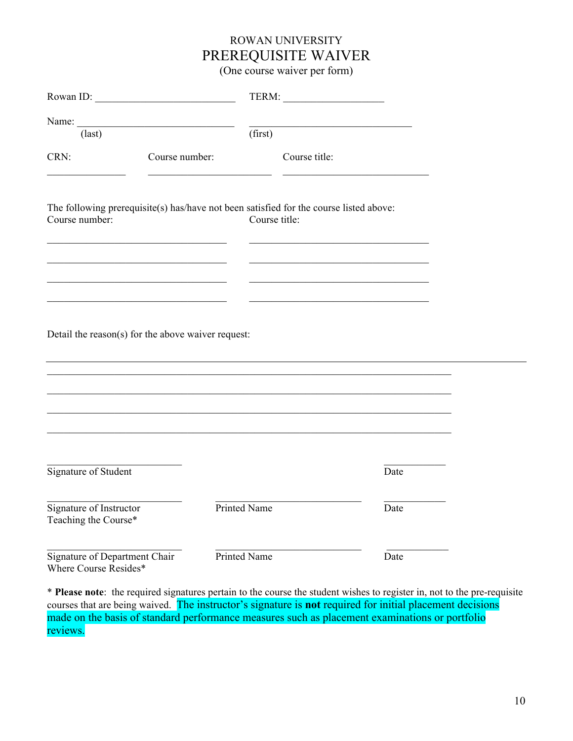# ROWAN UNIVERSITY PREREQUISITE WAIVER

(One course waiver per form)

| Rowan ID:                                              |                |                                                                                                         |  |
|--------------------------------------------------------|----------------|---------------------------------------------------------------------------------------------------------|--|
| Name:<br>$\text{(last)}$                               |                | (first)                                                                                                 |  |
| CRN:                                                   | Course number: | Course title:                                                                                           |  |
| Course number:                                         |                | The following prerequisite(s) has/have not been satisfied for the course listed above:<br>Course title: |  |
|                                                        |                |                                                                                                         |  |
| Detail the reason(s) for the above waiver request:     |                |                                                                                                         |  |
|                                                        |                |                                                                                                         |  |
|                                                        |                |                                                                                                         |  |
| Signature of Student                                   |                | Date                                                                                                    |  |
| Signature of Instructor<br>Teaching the Course*        |                | <b>Printed Name</b><br>Date                                                                             |  |
| Signature of Department Chair<br>Where Course Resides* |                | Printed Name<br>Date                                                                                    |  |

\* **Please note**: the required signatures pertain to the course the student wishes to register in, not to the pre-requisite courses that are being waived. The instructor's signature is **not** required for initial placement decisions made on the basis of standard performance measures such as placement examinations or portfolio reviews.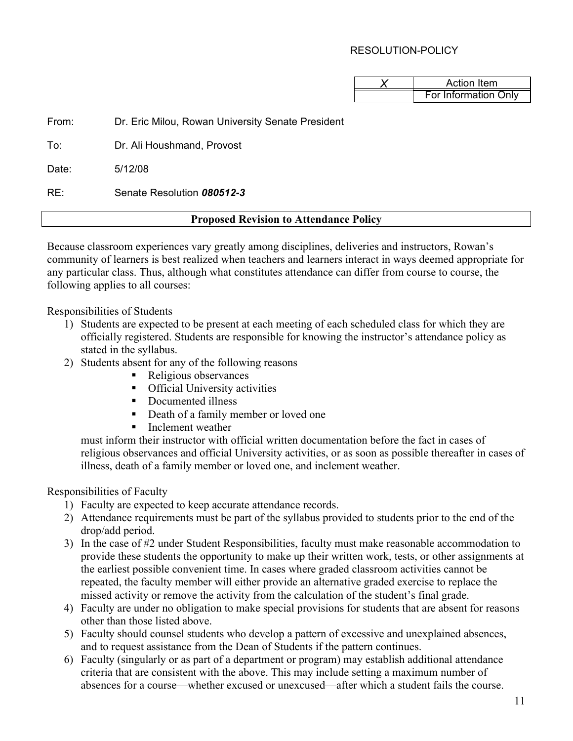#### RESOLUTION-POLICY

| Action Item          |
|----------------------|
| For Information Only |

From: Dr. Eric Milou, Rowan University Senate President

To: Dr. Ali Houshmand, Provost

Date: 5/12/08

RE: Senate Resolution *080512-3*

#### **Proposed Revision to Attendance Policy**

Because classroom experiences vary greatly among disciplines, deliveries and instructors, Rowan's community of learners is best realized when teachers and learners interact in ways deemed appropriate for any particular class. Thus, although what constitutes attendance can differ from course to course, the following applies to all courses:

Responsibilities of Students

- 1) Students are expected to be present at each meeting of each scheduled class for which they are officially registered. Students are responsible for knowing the instructor's attendance policy as stated in the syllabus.
- 2) Students absent for any of the following reasons
	- Religious observances
	- **•** Official University activities
	- Documented illness
	- Death of a family member or loved one
	- **Inclement weather**

must inform their instructor with official written documentation before the fact in cases of religious observances and official University activities, or as soon as possible thereafter in cases of illness, death of a family member or loved one, and inclement weather.

Responsibilities of Faculty

- 1) Faculty are expected to keep accurate attendance records.
- 2) Attendance requirements must be part of the syllabus provided to students prior to the end of the drop/add period.
- 3) In the case of #2 under Student Responsibilities, faculty must make reasonable accommodation to provide these students the opportunity to make up their written work, tests, or other assignments at the earliest possible convenient time. In cases where graded classroom activities cannot be repeated, the faculty member will either provide an alternative graded exercise to replace the missed activity or remove the activity from the calculation of the student's final grade.
- 4) Faculty are under no obligation to make special provisions for students that are absent for reasons other than those listed above.
- 5) Faculty should counsel students who develop a pattern of excessive and unexplained absences, and to request assistance from the Dean of Students if the pattern continues.
- 6) Faculty (singularly or as part of a department or program) may establish additional attendance criteria that are consistent with the above. This may include setting a maximum number of absences for a course—whether excused or unexcused—after which a student fails the course.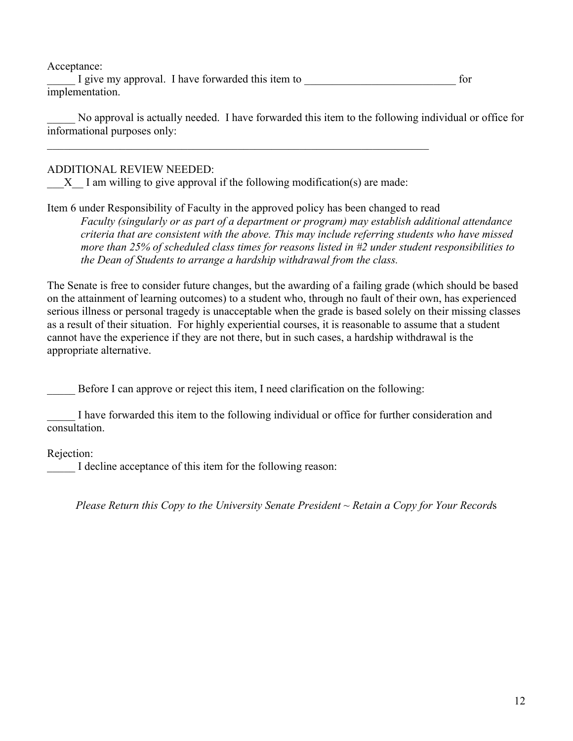Acceptance:

I give my approval. I have forwarded this item to  $\alpha$ implementation.

No approval is actually needed. I have forwarded this item to the following individual or office for informational purposes only:

#### ADDITIONAL REVIEW NEEDED:

 $X$  I am willing to give approval if the following modification(s) are made:

 $\mathcal{L}_\mathcal{L} = \{ \mathcal{L}_\mathcal{L} = \{ \mathcal{L}_\mathcal{L} = \{ \mathcal{L}_\mathcal{L} = \{ \mathcal{L}_\mathcal{L} = \{ \mathcal{L}_\mathcal{L} = \{ \mathcal{L}_\mathcal{L} = \{ \mathcal{L}_\mathcal{L} = \{ \mathcal{L}_\mathcal{L} = \{ \mathcal{L}_\mathcal{L} = \{ \mathcal{L}_\mathcal{L} = \{ \mathcal{L}_\mathcal{L} = \{ \mathcal{L}_\mathcal{L} = \{ \mathcal{L}_\mathcal{L} = \{ \mathcal{L}_\mathcal{$ 

Item 6 under Responsibility of Faculty in the approved policy has been changed to read *Faculty (singularly or as part of a department or program) may establish additional attendance criteria that are consistent with the above. This may include referring students who have missed more than 25% of scheduled class times for reasons listed in #2 under student responsibilities to the Dean of Students to arrange a hardship withdrawal from the class.*

The Senate is free to consider future changes, but the awarding of a failing grade (which should be based on the attainment of learning outcomes) to a student who, through no fault of their own, has experienced serious illness or personal tragedy is unacceptable when the grade is based solely on their missing classes as a result of their situation. For highly experiential courses, it is reasonable to assume that a student cannot have the experience if they are not there, but in such cases, a hardship withdrawal is the appropriate alternative.

Before I can approve or reject this item, I need clarification on the following:

\_\_\_\_\_ I have forwarded this item to the following individual or office for further consideration and consultation.

Rejection:

I decline acceptance of this item for the following reason:

*Please Return this Copy to the University Senate President ~ Retain a Copy for Your Record*s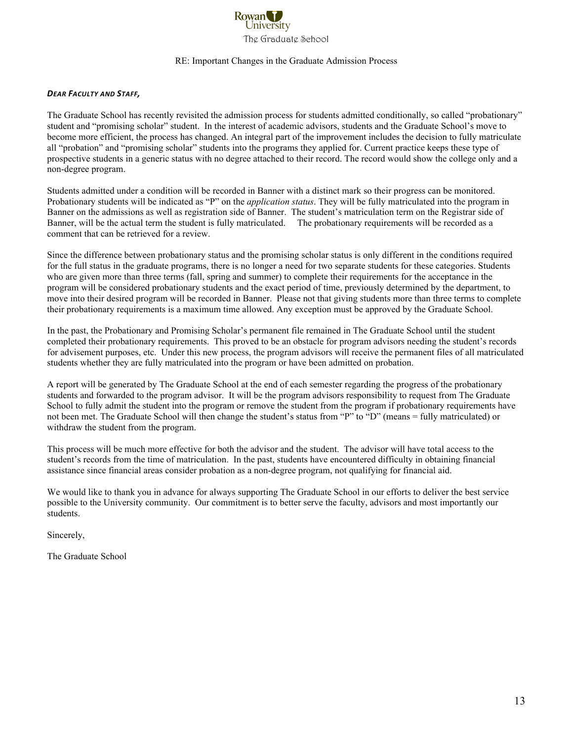

#### RE: Important Changes in the Graduate Admission Process

#### *DEAR
FACULTY
AND
STAFF,*

The Graduate School has recently revisited the admission process for students admitted conditionally, so called "probationary" student and "promising scholar" student. In the interest of academic advisors, students and the Graduate School's move to become more efficient, the process has changed. An integral part of the improvement includes the decision to fully matriculate all "probation" and "promising scholar" students into the programs they applied for. Current practice keeps these type of prospective students in a generic status with no degree attached to their record. The record would show the college only and a non-degree program.

Students admitted under a condition will be recorded in Banner with a distinct mark so their progress can be monitored. Probationary students will be indicated as "P" on the *application status*. They will be fully matriculated into the program in Banner on the admissions as well as registration side of Banner. The student's matriculation term on the Registrar side of Banner, will be the actual term the student is fully matriculated. The probationary requirements will be recorded as a comment that can be retrieved for a review.

Since the difference between probationary status and the promising scholar status is only different in the conditions required for the full status in the graduate programs, there is no longer a need for two separate students for these categories. Students who are given more than three terms (fall, spring and summer) to complete their requirements for the acceptance in the program will be considered probationary students and the exact period of time, previously determined by the department, to move into their desired program will be recorded in Banner. Please not that giving students more than three terms to complete their probationary requirements is a maximum time allowed. Any exception must be approved by the Graduate School.

In the past, the Probationary and Promising Scholar's permanent file remained in The Graduate School until the student completed their probationary requirements. This proved to be an obstacle for program advisors needing the student's records for advisement purposes, etc. Under this new process, the program advisors will receive the permanent files of all matriculated students whether they are fully matriculated into the program or have been admitted on probation.

A report will be generated by The Graduate School at the end of each semester regarding the progress of the probationary students and forwarded to the program advisor. It will be the program advisors responsibility to request from The Graduate School to fully admit the student into the program or remove the student from the program if probationary requirements have not been met. The Graduate School will then change the student's status from "P" to "D" (means = fully matriculated) or withdraw the student from the program.

This process will be much more effective for both the advisor and the student. The advisor will have total access to the student's records from the time of matriculation. In the past, students have encountered difficulty in obtaining financial assistance since financial areas consider probation as a non-degree program, not qualifying for financial aid.

We would like to thank you in advance for always supporting The Graduate School in our efforts to deliver the best service possible to the University community. Our commitment is to better serve the faculty, advisors and most importantly our students.

Sincerely,

The Graduate School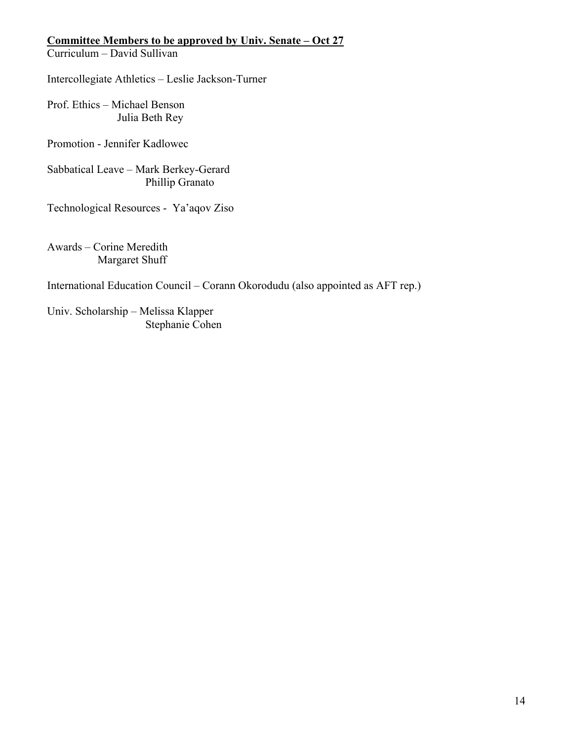#### **Committee Members to be approved by Univ. Senate – Oct 27**

Curriculum – David Sullivan

Intercollegiate Athletics – Leslie Jackson-Turner

Prof. Ethics – Michael Benson Julia Beth Rey

Promotion - Jennifer Kadlowec

Sabbatical Leave – Mark Berkey-Gerard Phillip Granato

Technological Resources - Ya'aqov Ziso

Awards – Corine Meredith Margaret Shuff

International Education Council – Corann Okorodudu (also appointed as AFT rep.)

Univ. Scholarship – Melissa Klapper Stephanie Cohen